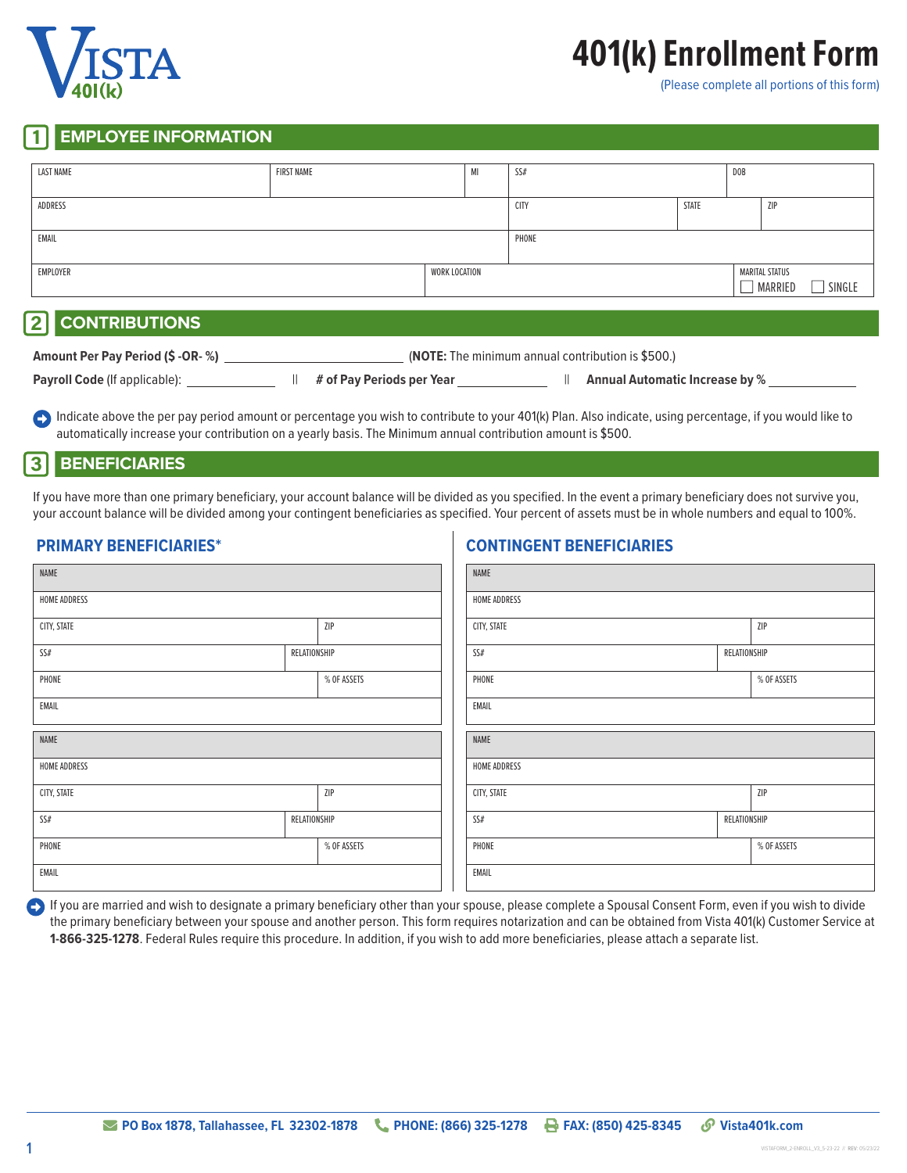

# **401(k) Enrollment Form**

(Please complete all portions of this form)

# **EMPLOYEE INFORMATION**

| <b>LAST NAME</b> | <b>FIRST NAME</b> | MI            | SS#         |       | DOB |                                     |
|------------------|-------------------|---------------|-------------|-------|-----|-------------------------------------|
| ADDRESS          |                   |               | <b>CITY</b> | STATE |     | ZIP                                 |
| EMAIL            |                   |               | PHONE       |       |     |                                     |
| EMPLOYER         |                   | WORK LOCATION |             |       | ┓   | MARITAL STATUS<br>MARRIED<br>SINGLE |

# 2 **CONTRIBUTIONS**

| Amount Per Pay Period (\$ -OR-%)     | <b>(NOTE:</b> The minimum annual contribution is \$500.) |                           |  |                                       |
|--------------------------------------|----------------------------------------------------------|---------------------------|--|---------------------------------------|
| <b>Payroll Code (If applicable):</b> |                                                          | # of Pay Periods per Year |  | <b>Annual Automatic Increase by %</b> |

**•** Indicate above the per pay period amount or percentage you wish to contribute to your 401(k) Plan. Also indicate, using percentage, if you would like to automatically increase your contribution on a yearly basis. The Minimum annual contribution amount is \$500.

### 3 **BENEFICIARIES**

If you have more than one primary beneficiary, your account balance will be divided as you specified. In the event a primary beneficiary does not survive you, your account balance will be divided among your contingent beneficiaries as specified. Your percent of assets must be in whole numbers and equal to 100%.

**CONTINGENT BENEFICIARIES**

# **PRIMARY BENEFICIARIES\***

| NAME         |              | NAME                |             |              |              |  |
|--------------|--------------|---------------------|-------------|--------------|--------------|--|
| HOME ADDRESS |              | <b>HOME ADDRESS</b> |             |              |              |  |
| CITY, STATE  |              | ZIP                 | CITY, STATE |              | ZIP          |  |
| SS#          | RELATIONSHIP |                     | SS#         |              | RELATIONSHIP |  |
| PHONE        |              | % OF ASSETS         | PHONE       |              | % OF ASSETS  |  |
| EMAIL        |              | EMAIL               |             |              |              |  |
| NAME         |              | NAME                |             |              |              |  |
| HOME ADDRESS |              | <b>HOME ADDRESS</b> |             |              |              |  |
| CITY, STATE  |              | ZIP                 | CITY, STATE |              | ZIP          |  |
| SS#          | RELATIONSHIP |                     | SS#         | RELATIONSHIP |              |  |
| PHONE        |              | % OF ASSETS         | PHONE       |              | % OF ASSETS  |  |
| EMAIL        |              | EMAIL               |             |              |              |  |

**1** If you are married and wish to designate a primary beneficiary other than your spouse, please complete a Spousal Consent Form, even if you wish to divide the primary beneficiary between your spouse and another person. This form requires notarization and can be obtained from Vista 401(k) Customer Service at **1-866-325-1278**. Federal Rules require this procedure. In addition, if you wish to add more beneficiaries, please attach a separate list.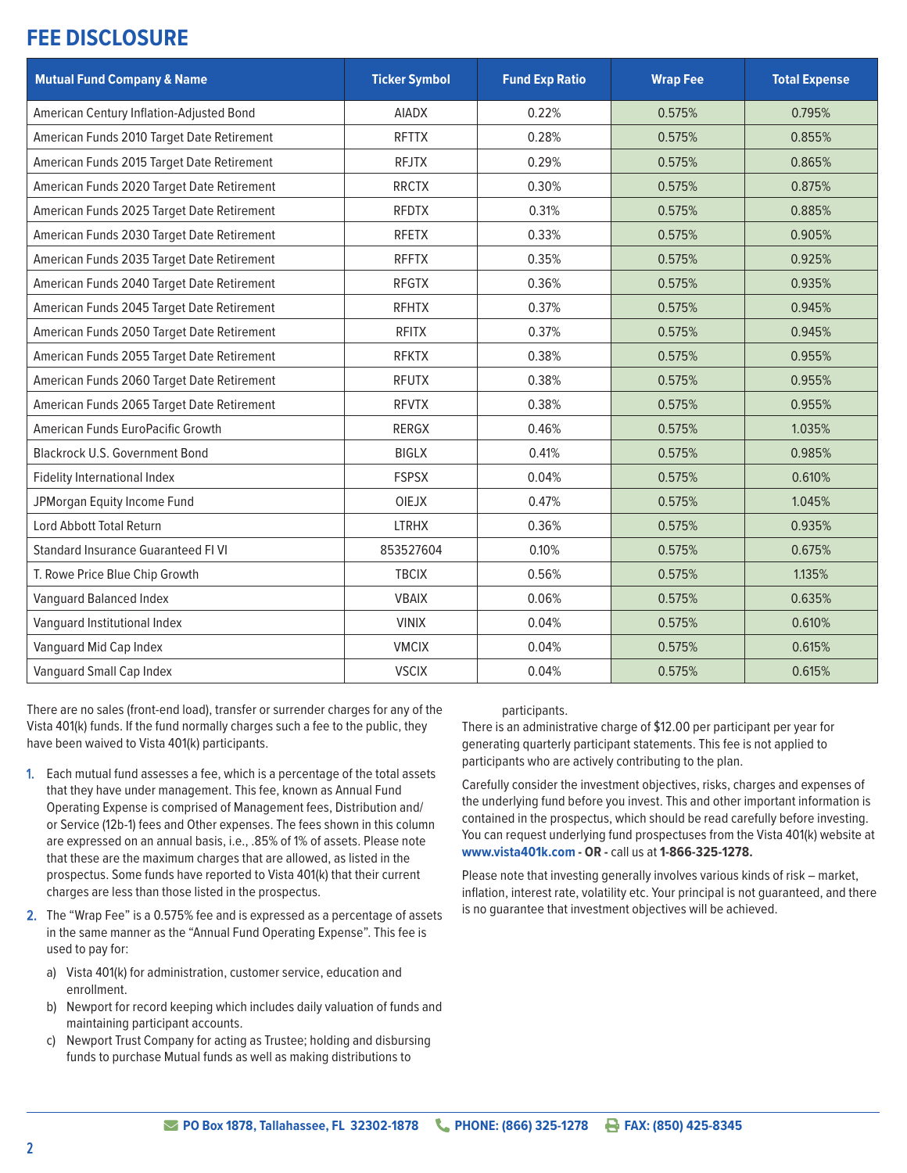# **FEE DISCLOSURE**

| <b>Mutual Fund Company &amp; Name</b>      | <b>Ticker Symbol</b> | <b>Fund Exp Ratio</b> | <b>Wrap Fee</b> | <b>Total Expense</b> |
|--------------------------------------------|----------------------|-----------------------|-----------------|----------------------|
| American Century Inflation-Adjusted Bond   | <b>AIADX</b>         | 0.22%                 | 0.575%          | 0.795%               |
| American Funds 2010 Target Date Retirement | <b>RFTTX</b>         | 0.28%                 | 0.575%          | 0.855%               |
| American Funds 2015 Target Date Retirement | <b>RFJTX</b>         | 0.29%                 | 0.575%          | 0.865%               |
| American Funds 2020 Target Date Retirement | <b>RRCTX</b>         | 0.30%                 | 0.575%          | 0.875%               |
| American Funds 2025 Target Date Retirement | <b>RFDTX</b>         | 0.31%                 | 0.575%          | 0.885%               |
| American Funds 2030 Target Date Retirement | <b>RFETX</b>         | 0.33%                 | 0.575%          | 0.905%               |
| American Funds 2035 Target Date Retirement | <b>RFFTX</b>         | 0.35%                 | 0.575%          | 0.925%               |
| American Funds 2040 Target Date Retirement | <b>RFGTX</b>         | 0.36%                 | 0.575%          | 0.935%               |
| American Funds 2045 Target Date Retirement | <b>RFHTX</b>         | 0.37%                 | 0.575%          | 0.945%               |
| American Funds 2050 Target Date Retirement | <b>RFITX</b>         | 0.37%                 | 0.575%          | 0.945%               |
| American Funds 2055 Target Date Retirement | <b>RFKTX</b>         | 0.38%                 | 0.575%          | 0.955%               |
| American Funds 2060 Target Date Retirement | <b>RFUTX</b>         | 0.38%                 | 0.575%          | 0.955%               |
| American Funds 2065 Target Date Retirement | <b>RFVTX</b>         | 0.38%                 | 0.575%          | 0.955%               |
| American Funds EuroPacific Growth          | RERGX                | 0.46%                 | 0.575%          | 1.035%               |
| <b>Blackrock U.S. Government Bond</b>      | <b>BIGLX</b>         | 0.41%                 | 0.575%          | 0.985%               |
| <b>Fidelity International Index</b>        | <b>FSPSX</b>         | 0.04%                 | 0.575%          | 0.610%               |
| JPMorgan Equity Income Fund                | <b>OIEJX</b>         | 0.47%                 | 0.575%          | 1.045%               |
| Lord Abbott Total Return                   | <b>LTRHX</b>         | 0.36%                 | 0.575%          | 0.935%               |
| <b>Standard Insurance Guaranteed FI VI</b> | 853527604            | 0.10%                 | 0.575%          | 0.675%               |
| T. Rowe Price Blue Chip Growth             | <b>TBCIX</b>         | 0.56%                 | 0.575%          | 1.135%               |
| Vanguard Balanced Index                    | <b>VBAIX</b>         | 0.06%                 | 0.575%          | 0.635%               |
| Vanguard Institutional Index               | <b>VINIX</b>         | 0.04%                 | 0.575%          | 0.610%               |
| Vanguard Mid Cap Index                     | <b>VMCIX</b>         | 0.04%                 | 0.575%          | 0.615%               |
| Vanguard Small Cap Index                   | <b>VSCIX</b>         | 0.04%                 | 0.575%          | 0.615%               |

There are no sales (front-end load), transfer or surrender charges for any of the Vista 401(k) funds. If the fund normally charges such a fee to the public, they have been waived to Vista 401(k) participants.

- 1. Each mutual fund assesses a fee, which is a percentage of the total assets that they have under management. This fee, known as Annual Fund Operating Expense is comprised of Management fees, Distribution and/ or Service (12b-1) fees and Other expenses. The fees shown in this column are expressed on an annual basis, i.e., .85% of 1% of assets. Please note that these are the maximum charges that are allowed, as listed in the prospectus. Some funds have reported to Vista 401(k) that their current charges are less than those listed in the prospectus.
- 2. The "Wrap Fee" is a 0.575% fee and is expressed as a percentage of assets in the same manner as the "Annual Fund Operating Expense". This fee is used to pay for:
	- a) Vista 401(k) for administration, customer service, education and enrollment.
	- b) Newport for record keeping which includes daily valuation of funds and maintaining participant accounts.
	- c) Newport Trust Company for acting as Trustee; holding and disbursing funds to purchase Mutual funds as well as making distributions to

#### participants.

There is an administrative charge of \$12.00 per participant per year for generating quarterly participant statements. This fee is not applied to participants who are actively contributing to the plan.

Carefully consider the investment objectives, risks, charges and expenses of the underlying fund before you invest. This and other important information is contained in the prospectus, which should be read carefully before investing. You can request underlying fund prospectuses from the Vista 401(k) website at **www.vista401k.com - OR -** call us at **1-866-325-1278.**

Please note that investing generally involves various kinds of risk – market, inflation, interest rate, volatility etc. Your principal is not guaranteed, and there is no guarantee that investment objectives will be achieved.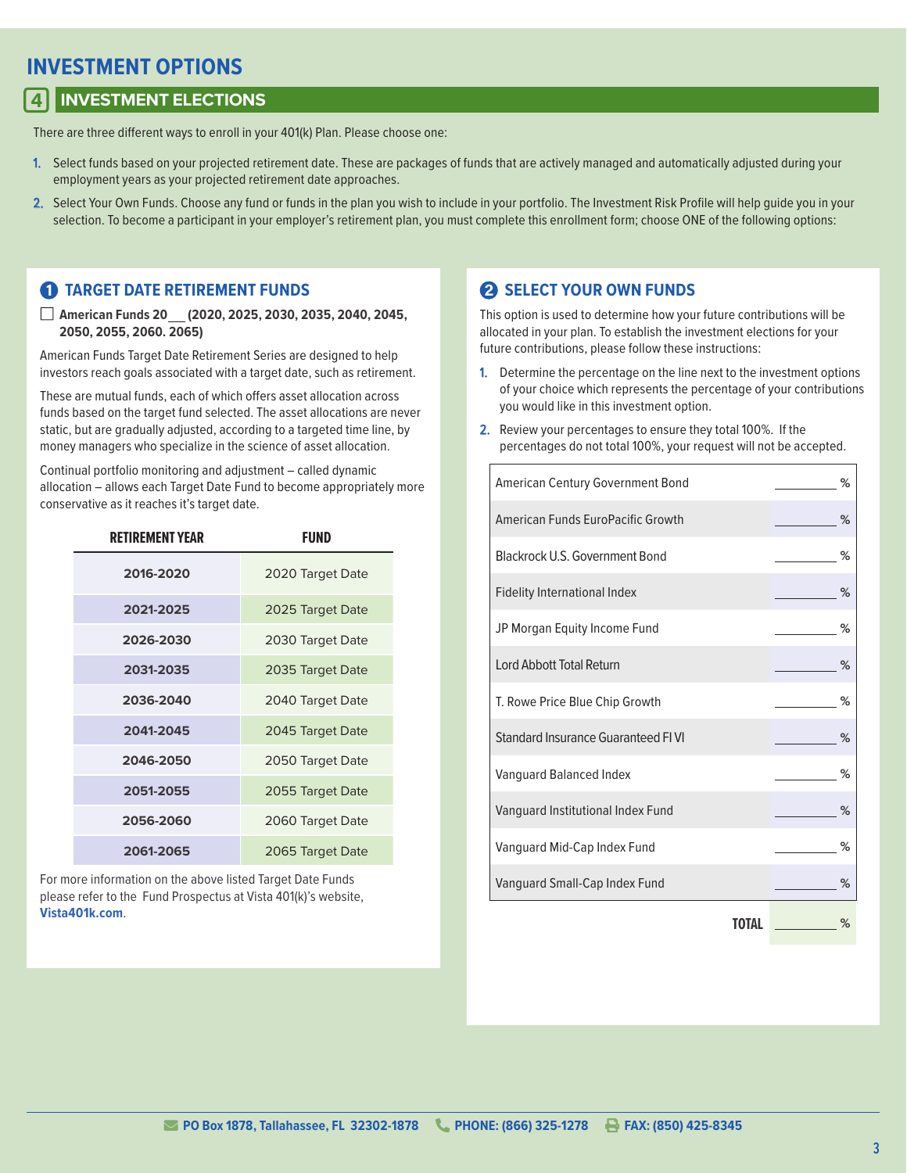# **INVESTMENT OPTIONS**

# 4 **INVESTMENT ELECTIONS**

There are three different ways to enroll in your 401(k) Plan. Please choose one:

- 1. Select funds based on your projected retirement date. These are packages of funds that are actively managed and automatically adjusted during your employment years as your projected retirement date approaches.
- 2. Select Your Own Funds. Choose any fund or funds in the plan you wish to include in your portfolio. The Investment Risk Profile will help quide you in your selection. To become a participant in your employer's retirement plan, you must complete this enrollment form; choose ONE of the following options:

### **1 TARGET DATE RETIREMENT FUNDS**

■ **American Funds 20 (2020, 2025, 2030, 2035, 2040, 2045, 2050, 2055, 2060. 2065)**

American Funds Target Date Retirement Series are designed to help investors reach goals associated with a target date, such as retirement.

These are mutual funds, each of which offers asset allocation across funds based on the target fund selected. The asset allocations are never static, but are gradually adjusted, according to a targeted time line, by money managers who specialize in the science of asset allocation.

Continual portfolio monitoring and adjustment – called dynamic allocation – allows each Target Date Fund to become appropriately more conservative as it reaches it's target date.

| <b>RETIREMENT YEAR</b> | FUND             |
|------------------------|------------------|
| 2016-2020              | 2020 Target Date |
| 2021-2025              | 2025 Target Date |
| 2026-2030              | 2030 Target Date |
| 2031-2035              | 2035 Target Date |
| 2036-2040              | 2040 Target Date |
| 2041-2045              | 2045 Target Date |
| 2046-2050              | 2050 Target Date |
| 2051-2055              | 2055 Target Date |
| 2056-2060              | 2060 Target Date |
| 2061-2065              | 2065 Target Date |

For more information on the above listed Target Date Funds please refer to the Fund Prospectus at Vista 401(k)'s website, **Vista401k.com**.

# 2 **SELECT YOUR OWN FUNDS**

This option is used to determine how your future contributions will be allocated in your plan. To establish the investment elections for your future contributions, please follow these instructions:

- 1. Determine the percentage on the line next to the investment options of your choice which represents the percentage of your contributions you would like in this investment option.
- 2. Review your percentages to ensure they total 100%. If the percentages do not total 100%, your request will not be accepted.

| American Century Government Bond    | %    |
|-------------------------------------|------|
| American Funds EuroPacific Growth   | %    |
| Blackrock U.S. Government Bond      | ℅    |
| <b>Fidelity International Index</b> | $\%$ |
| JP Morgan Equity Income Fund        | %    |
| Lord Abbott Total Return            | %    |
| T. Rowe Price Blue Chip Growth      | %    |
| Standard Insurance Guaranteed FIVI  | %    |
| Vanguard Balanced Index             | %    |
| Vanguard Institutional Index Fund   | ℅    |
| Vanguard Mid-Cap Index Fund         | ℅    |
| Vanguard Small-Cap Index Fund       | %    |
| TOTAL                               | ℅    |